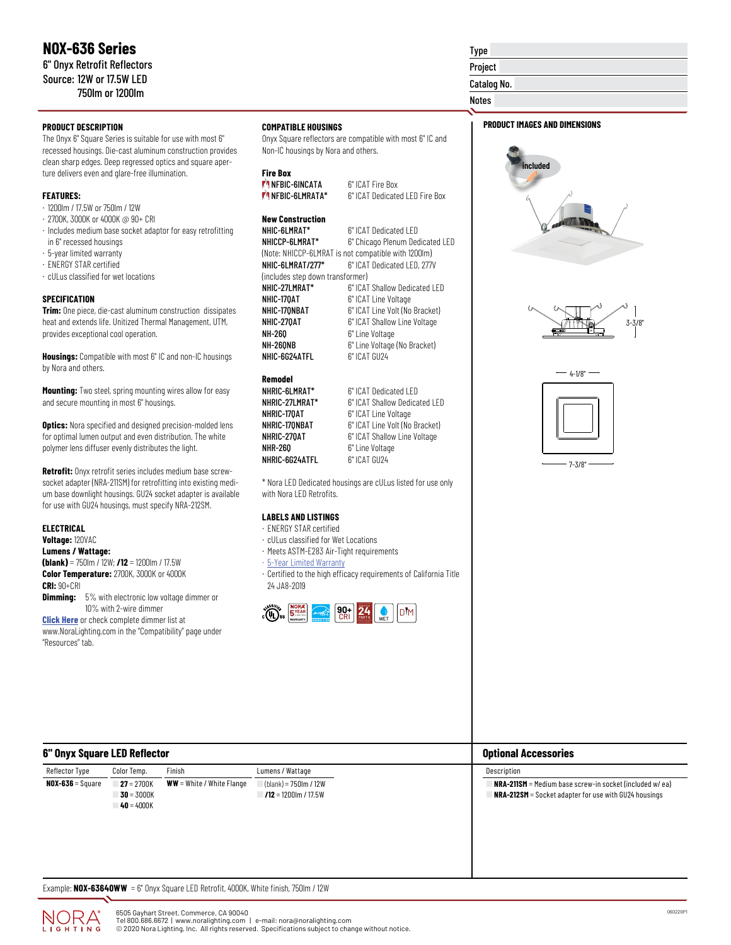# **PRODUCT DESCRIPTION**

The Onyx 6" Square Series is suitable for use with most 6" recessed housings. Die-cast aluminum construction provides clean sharp edges. Deep regressed optics and square aperture delivers even and glare-free illumination.

# **FEATURES:**

- · 1200lm / 17.5W or 750lm / 12W
- · 2700K, 3000K or 4000K @ 90+ CRI
- · Includes medium base socket adaptor for easy retrofitting in 6" recessed housings
- · 5-year limited warranty
- · ENERGY STAR certified
- · cULus classified for wet locations

#### **SPECIFICATION**

**Trim:** One piece, die-cast aluminum construction dissipates heat and extends life. Unitized Thermal Management, UTM, provides exceptional cool operation.

**Housings:** Compatible with most 6" IC and non-IC housings by Nora and others.

**Mounting:** Two steel, spring mounting wires allow for easy and secure mounting in most 6" housings.

**Optics:** Nora specified and designed precision-molded lens for optimal lumen output and even distribution. The white polymer lens diffuser evenly distributes the light.

**Retrofit:** Onyx retrofit series includes medium base screwsocket adapter (NRA-211SM) for retrofitting into existing medium base downlight housings. GU24 socket adapter is available for use with GU24 housings, must specify NRA-212SM.

# **ELECTRICAL**

**Voltage:** 120VAC **Lumens / Wattage: (blank)** = 750lm / 12W; **/12** = 1200lm / 17.5W **Color Temperature:** 2700K, 3000K or 4000K **CRI:** 90+CRI

**Dimming:** 5% with electronic low voltage dimmer or 10% with 2-wire dimmer

**[Click Here](https://noralighting.com/resources/compatibility/)** or check complete dimmer list at www.NoraLighting.com in the "Compatibility" page under

# "Resources" tab.

# **COMPATIBLE HOUSINGS**

Onyx Square reflectors are compatible with most 6" IC and Non-IC housings by Nora and others.

#### **Fire Box**

| <b>MINEBIC-GINCATA</b>  | 6" ICAT Fire Box                |  |
|-------------------------|---------------------------------|--|
| <b>MANERIC-6LMRATA*</b> | 6" ICAT Dedicated I FD Fire Box |  |

#### **New Construction**

| NHIC-6LMRAT*                     | 6" ICAT Dedicated LED                               |
|----------------------------------|-----------------------------------------------------|
| NHICCP-6LMRAT*                   | 6" Chicago Plenum Dedicated LED                     |
|                                  | (Note: NHICCP-6LMRAT is not compatible with 1200lm) |
| NHIC-6LMRAT/277*                 | 6" ICAT Dedicated LED, 277V                         |
| (includes step down transformer) |                                                     |
| NHIC-27LMRAT*                    | 6" ICAT Shallow Dedicated LED                       |
| NHIC-170AT                       | 6" ICAT Line Voltage                                |
| NHIC-170NBAT                     | 6" ICAT Line Volt (No Bracket)                      |
| NHIC-270AT                       | 6" ICAT Shallow Line Voltage                        |
| NH-260                           | 6" Line Voltage                                     |
| NH-260NB                         | 6" Line Voltage (No Bracket)                        |
| NHIC-6G24ATFL                    | 6" ICAT GU24                                        |
|                                  |                                                     |

# **Remodel**

| NHRIC-6LMRAT*  | 6" ICAT Dedicated LED          |
|----------------|--------------------------------|
| NHRIC-27LMRAT* | 6" ICAT Shallow Dedicated LED  |
| NHRIC-170AT    | 6" ICAT Line Voltage           |
| NHRIC-170NBAT  | 6" ICAT Line Volt (No Bracket) |
| NHRIC-270AT    | 6" ICAT Shallow Line Voltage   |
| NHR-260        | 6" Line Voltage                |
| NHRIC-6G24ATFL | 6" ICAT GU24                   |

\* Nora LED Dedicated housings are cULus listed for use only with Nora LED Retrofits.

# **LABELS AND LISTINGS**

- · ENERGY STAR certified
- · cULus classified for Wet Locations
- · Meets ASTM-E283 Air-Tight requirements
- · [5-Year Limited Warranty](https://noralighting.com/wp-content/uploads/2019/02/Limited-Warranty-Five-Year.pdf)
- · Certified to the high efficacy requirements of California Title 24 JA8-2019



# Project

Catalog No.

Type

Notes

# **PRODUCT IMAGES AND DIMENSIONS**







7-3/8"

| 6" Onyx Square LED Reflector |                                              |                             |                                                  | <b>Optional Accessories</b>                                                                                                |
|------------------------------|----------------------------------------------|-----------------------------|--------------------------------------------------|----------------------------------------------------------------------------------------------------------------------------|
| Reflector Type               | Color Temp.                                  | Finish                      | Lumens / Wattage                                 | Description                                                                                                                |
| $NOX-636 = Square$           | $27 = 2700K$<br>$30 - 3000K$<br>$40 = 4000K$ | $WW = White / White Flange$ | $(blank) = 750lm / 12W$<br>$12 = 1200$ m / 17.5W | $NRA-211SM = Medium base screw-in socket (included w/ ea)$<br><b>NRA-212SM</b> = Socket adapter for use with GU24 housings |

Example: **NOX-63640WW** = 6" Onyx Square LED Retrofit, 4000K, White finish, 750lm / 12W